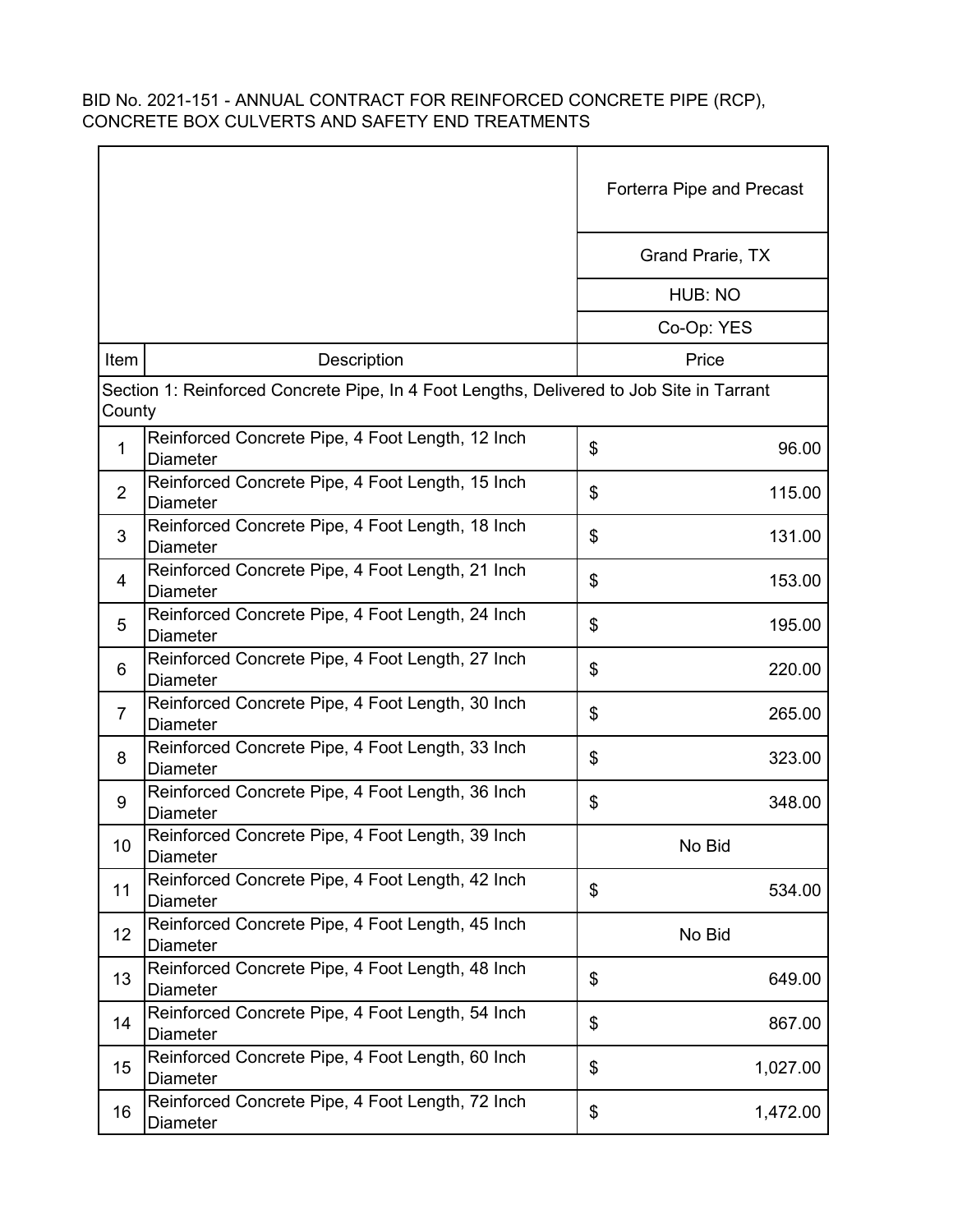|                |                                                                                          | Forterra Pipe and Precast |
|----------------|------------------------------------------------------------------------------------------|---------------------------|
|                |                                                                                          | Grand Prarie, TX          |
|                |                                                                                          | HUB: NO                   |
|                |                                                                                          | Co-Op: YES                |
| Item           | Description                                                                              | Price                     |
| County         | Section 1: Reinforced Concrete Pipe, In 4 Foot Lengths, Delivered to Job Site in Tarrant |                           |
| $\mathbf{1}$   | Reinforced Concrete Pipe, 4 Foot Length, 12 Inch<br><b>Diameter</b>                      | \$<br>96.00               |
| $\overline{2}$ | Reinforced Concrete Pipe, 4 Foot Length, 15 Inch<br>Diameter                             | \$<br>115.00              |
| 3              | Reinforced Concrete Pipe, 4 Foot Length, 18 Inch<br><b>Diameter</b>                      | \$<br>131.00              |
| 4              | Reinforced Concrete Pipe, 4 Foot Length, 21 Inch<br><b>Diameter</b>                      | \$<br>153.00              |
| 5              | Reinforced Concrete Pipe, 4 Foot Length, 24 Inch<br><b>Diameter</b>                      | \$<br>195.00              |
| 6              | Reinforced Concrete Pipe, 4 Foot Length, 27 Inch<br><b>Diameter</b>                      | \$<br>220.00              |
| $\overline{7}$ | Reinforced Concrete Pipe, 4 Foot Length, 30 Inch<br><b>Diameter</b>                      | \$<br>265.00              |
| 8              | Reinforced Concrete Pipe, 4 Foot Length, 33 Inch<br><b>Diameter</b>                      | \$<br>323.00              |
| 9              | Reinforced Concrete Pipe, 4 Foot Length, 36 Inch<br><b>Diameter</b>                      | \$<br>348.00              |
| 10             | Reinforced Concrete Pipe, 4 Foot Length, 39 Inch<br><b>Diameter</b>                      | No Bid                    |
| 11             | Reinforced Concrete Pipe, 4 Foot Length, 42 Inch<br><b>Diameter</b>                      | \$<br>534.00              |
| 12             | Reinforced Concrete Pipe, 4 Foot Length, 45 Inch<br><b>Diameter</b>                      | No Bid                    |
| 13             | Reinforced Concrete Pipe, 4 Foot Length, 48 Inch<br><b>Diameter</b>                      | \$<br>649.00              |
| 14             | Reinforced Concrete Pipe, 4 Foot Length, 54 Inch<br><b>Diameter</b>                      | \$<br>867.00              |
| 15             | Reinforced Concrete Pipe, 4 Foot Length, 60 Inch<br><b>Diameter</b>                      | \$<br>1,027.00            |
| 16             | Reinforced Concrete Pipe, 4 Foot Length, 72 Inch<br>Diameter                             | \$<br>1,472.00            |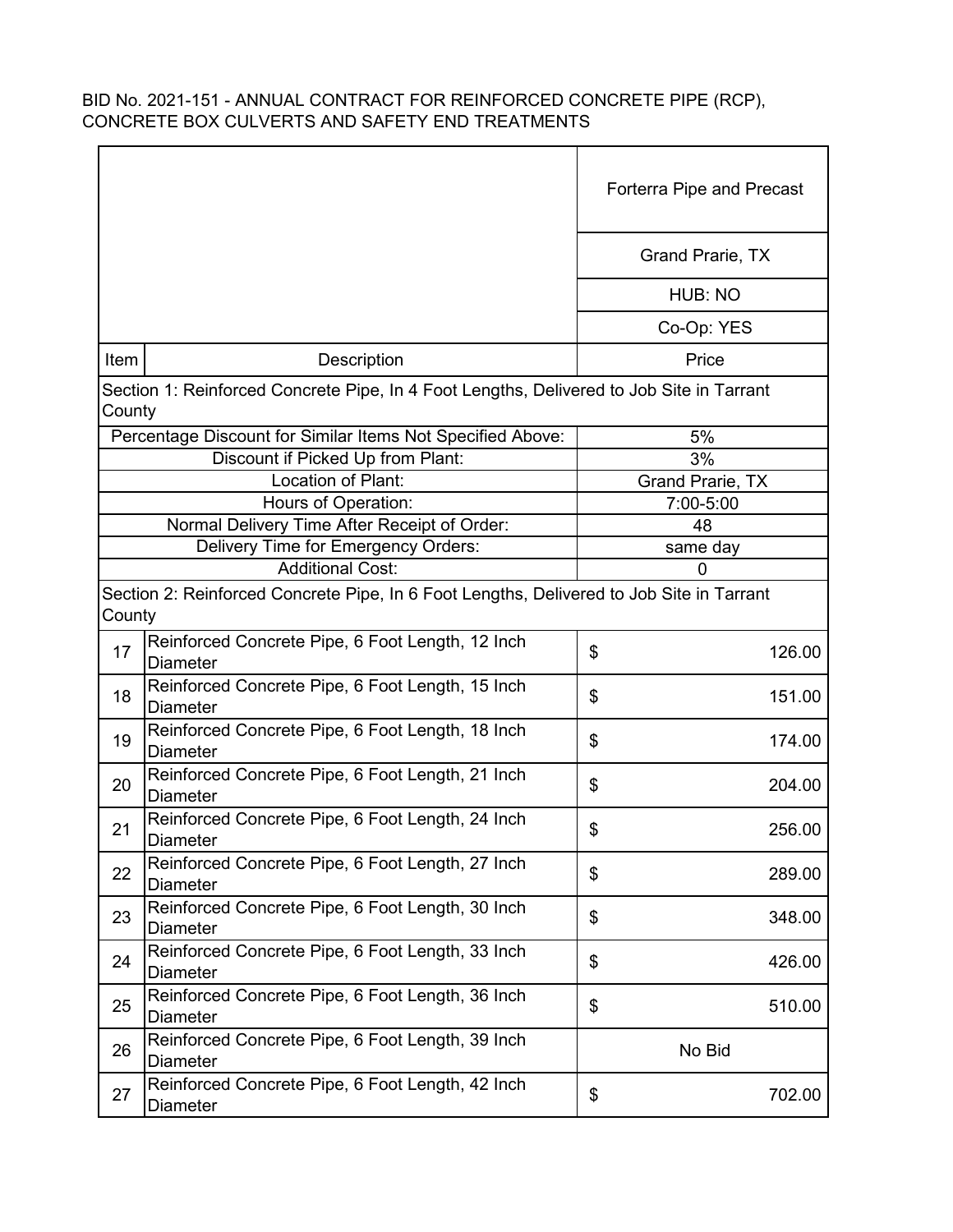|        |                                                                                          | <b>Forterra Pipe and Precast</b> |
|--------|------------------------------------------------------------------------------------------|----------------------------------|
|        |                                                                                          | Grand Prarie, TX                 |
|        |                                                                                          | HUB: NO                          |
|        |                                                                                          | Co-Op: YES                       |
| Item   | Description                                                                              | Price                            |
| County | Section 1: Reinforced Concrete Pipe, In 4 Foot Lengths, Delivered to Job Site in Tarrant |                                  |
|        | Percentage Discount for Similar Items Not Specified Above:                               | 5%                               |
|        | Discount if Picked Up from Plant:                                                        | 3%                               |
|        | Location of Plant:                                                                       | Grand Prarie, TX                 |
|        | Hours of Operation:                                                                      | 7:00-5:00                        |
|        | Normal Delivery Time After Receipt of Order:                                             | 48                               |
|        | Delivery Time for Emergency Orders:                                                      | same day                         |
|        | <b>Additional Cost:</b>                                                                  | 0                                |
| County | Section 2: Reinforced Concrete Pipe, In 6 Foot Lengths, Delivered to Job Site in Tarrant |                                  |
| 17     | Reinforced Concrete Pipe, 6 Foot Length, 12 Inch<br><b>Diameter</b>                      | \$<br>126.00                     |
| 18     | Reinforced Concrete Pipe, 6 Foot Length, 15 Inch<br><b>Diameter</b>                      | \$<br>151.00                     |
| 19     | Reinforced Concrete Pipe, 6 Foot Length, 18 Inch<br><b>Diameter</b>                      | \$<br>174.00                     |
| 20     | Reinforced Concrete Pipe, 6 Foot Length, 21 Inch<br><b>Diameter</b>                      | \$<br>204.00                     |
| 21     | Reinforced Concrete Pipe, 6 Foot Length, 24 Inch<br><b>Diameter</b>                      | \$<br>256.00                     |
| 22     | Reinforced Concrete Pipe, 6 Foot Length, 27 Inch<br><b>Diameter</b>                      | \$<br>289.00                     |
| 23     | Reinforced Concrete Pipe, 6 Foot Length, 30 Inch<br>Diameter                             | \$<br>348.00                     |
| 24     | Reinforced Concrete Pipe, 6 Foot Length, 33 Inch<br><b>Diameter</b>                      | \$<br>426.00                     |
| 25     | Reinforced Concrete Pipe, 6 Foot Length, 36 Inch<br><b>Diameter</b>                      | \$<br>510.00                     |
| 26     | Reinforced Concrete Pipe, 6 Foot Length, 39 Inch<br><b>Diameter</b>                      | No Bid                           |
| 27     | Reinforced Concrete Pipe, 6 Foot Length, 42 Inch<br>Diameter                             | \$<br>702.00                     |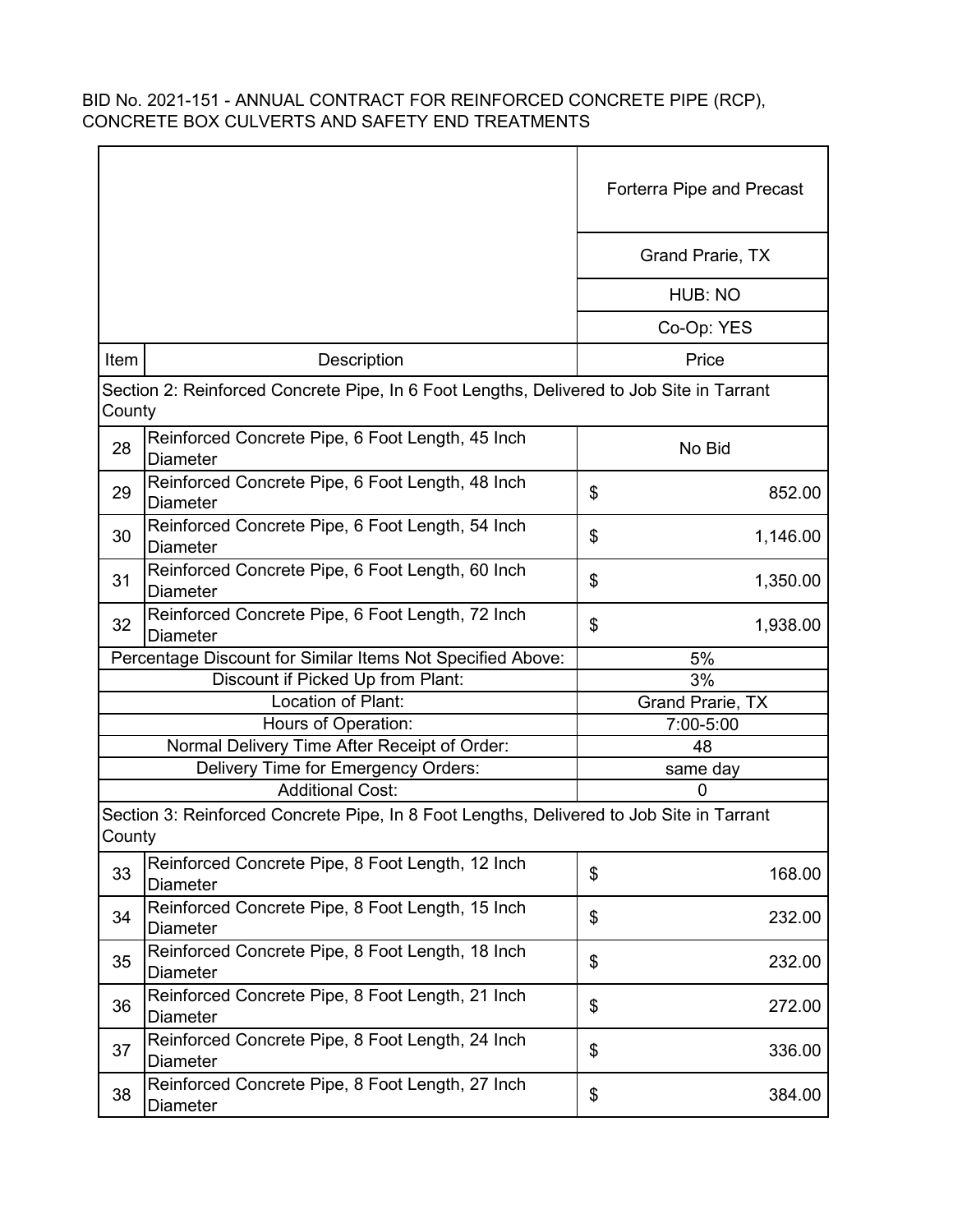|        |                                                                                          | Forterra Pipe and Precast |  |
|--------|------------------------------------------------------------------------------------------|---------------------------|--|
|        |                                                                                          | <b>Grand Prarie, TX</b>   |  |
|        |                                                                                          | HUB: NO                   |  |
|        |                                                                                          | Co-Op: YES                |  |
| Item   | Description                                                                              | Price                     |  |
| County | Section 2: Reinforced Concrete Pipe, In 6 Foot Lengths, Delivered to Job Site in Tarrant |                           |  |
| 28     | Reinforced Concrete Pipe, 6 Foot Length, 45 Inch<br><b>Diameter</b>                      | No Bid                    |  |
| 29     | Reinforced Concrete Pipe, 6 Foot Length, 48 Inch<br><b>Diameter</b>                      | \$<br>852.00              |  |
| 30     | Reinforced Concrete Pipe, 6 Foot Length, 54 Inch<br><b>Diameter</b>                      | \$<br>1,146.00            |  |
| 31     | Reinforced Concrete Pipe, 6 Foot Length, 60 Inch<br><b>Diameter</b>                      | \$<br>1,350.00            |  |
| 32     | Reinforced Concrete Pipe, 6 Foot Length, 72 Inch<br><b>Diameter</b>                      | \$<br>1,938.00            |  |
|        | Percentage Discount for Similar Items Not Specified Above:                               | 5%                        |  |
|        | Discount if Picked Up from Plant:                                                        | 3%                        |  |
|        | Location of Plant:                                                                       | Grand Prarie, TX          |  |
|        | Hours of Operation:                                                                      | 7:00-5:00                 |  |
|        | Normal Delivery Time After Receipt of Order:                                             | 48                        |  |
|        | Delivery Time for Emergency Orders:                                                      | same day                  |  |
|        | <b>Additional Cost:</b>                                                                  | 0                         |  |
| County | Section 3: Reinforced Concrete Pipe, In 8 Foot Lengths, Delivered to Job Site in Tarrant |                           |  |
| 33     | Reinforced Concrete Pipe, 8 Foot Length, 12 Inch<br><b>Diameter</b>                      | \$<br>168.00              |  |
| 34     | Reinforced Concrete Pipe, 8 Foot Length, 15 Inch<br><b>Diameter</b>                      | \$<br>232.00              |  |
| 35     | Reinforced Concrete Pipe, 8 Foot Length, 18 Inch<br><b>Diameter</b>                      | \$<br>232.00              |  |
| 36     | Reinforced Concrete Pipe, 8 Foot Length, 21 Inch<br><b>Diameter</b>                      | \$<br>272.00              |  |
| 37     | Reinforced Concrete Pipe, 8 Foot Length, 24 Inch<br><b>Diameter</b>                      | \$<br>336.00              |  |
| 38     | Reinforced Concrete Pipe, 8 Foot Length, 27 Inch<br>Diameter                             | \$<br>384.00              |  |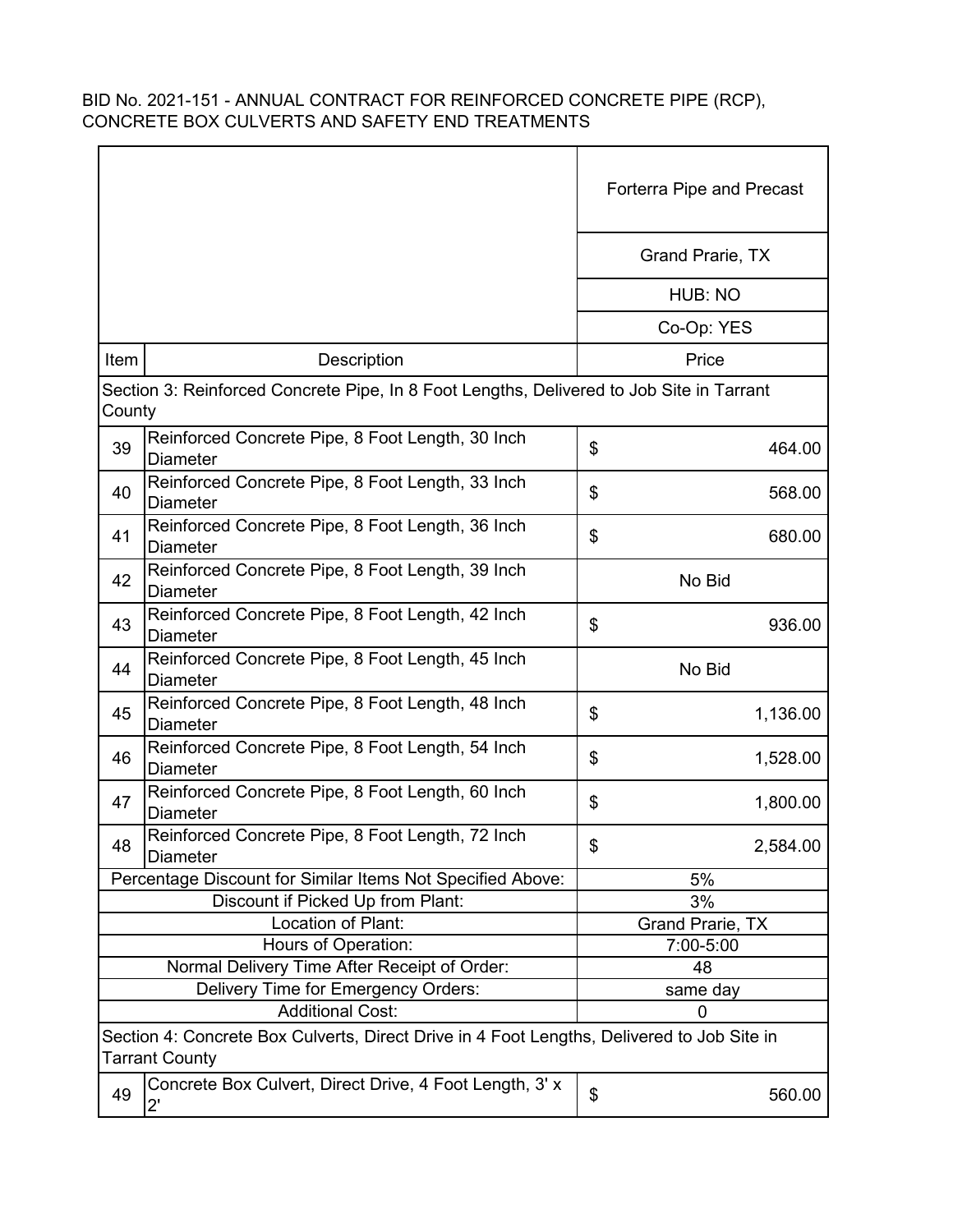|                                                                                                                     |                                                                                          | Forterra Pipe and Precast |
|---------------------------------------------------------------------------------------------------------------------|------------------------------------------------------------------------------------------|---------------------------|
|                                                                                                                     |                                                                                          | Grand Prarie, TX          |
|                                                                                                                     |                                                                                          | HUB: NO                   |
|                                                                                                                     |                                                                                          | Co-Op: YES                |
| Item                                                                                                                | Description                                                                              | Price                     |
| County                                                                                                              | Section 3: Reinforced Concrete Pipe, In 8 Foot Lengths, Delivered to Job Site in Tarrant |                           |
| 39                                                                                                                  | Reinforced Concrete Pipe, 8 Foot Length, 30 Inch<br><b>Diameter</b>                      | \$<br>464.00              |
| 40                                                                                                                  | Reinforced Concrete Pipe, 8 Foot Length, 33 Inch<br><b>Diameter</b>                      | \$<br>568.00              |
| 41                                                                                                                  | Reinforced Concrete Pipe, 8 Foot Length, 36 Inch<br><b>Diameter</b>                      | \$<br>680.00              |
| 42                                                                                                                  | Reinforced Concrete Pipe, 8 Foot Length, 39 Inch<br><b>Diameter</b>                      | No Bid                    |
| 43                                                                                                                  | Reinforced Concrete Pipe, 8 Foot Length, 42 Inch<br><b>Diameter</b>                      | \$<br>936.00              |
| 44                                                                                                                  | Reinforced Concrete Pipe, 8 Foot Length, 45 Inch<br><b>Diameter</b>                      | No Bid                    |
| 45                                                                                                                  | Reinforced Concrete Pipe, 8 Foot Length, 48 Inch<br><b>Diameter</b>                      | \$<br>1,136.00            |
| 46                                                                                                                  | Reinforced Concrete Pipe, 8 Foot Length, 54 Inch<br><b>Diameter</b>                      | \$<br>1,528.00            |
| 47                                                                                                                  | Reinforced Concrete Pipe, 8 Foot Length, 60 Inch<br><b>Diameter</b>                      | \$<br>1,800.00            |
| 48                                                                                                                  | Reinforced Concrete Pipe, 8 Foot Length, 72 Inch<br><b>Diameter</b>                      | \$<br>2,584.00            |
|                                                                                                                     | Percentage Discount for Similar Items Not Specified Above:                               | 5%                        |
|                                                                                                                     | Discount if Picked Up from Plant:                                                        | 3%                        |
|                                                                                                                     | Location of Plant:                                                                       | <b>Grand Prarie, TX</b>   |
|                                                                                                                     | Hours of Operation:                                                                      | 7:00-5:00                 |
|                                                                                                                     | Normal Delivery Time After Receipt of Order:                                             | 48                        |
|                                                                                                                     | Delivery Time for Emergency Orders:                                                      | same day                  |
|                                                                                                                     | <b>Additional Cost:</b>                                                                  | $\mathbf 0$               |
| Section 4: Concrete Box Culverts, Direct Drive in 4 Foot Lengths, Delivered to Job Site in<br><b>Tarrant County</b> |                                                                                          |                           |
| 49                                                                                                                  | Concrete Box Culvert, Direct Drive, 4 Foot Length, 3' x<br>$2^{\prime}$                  | \$<br>560.00              |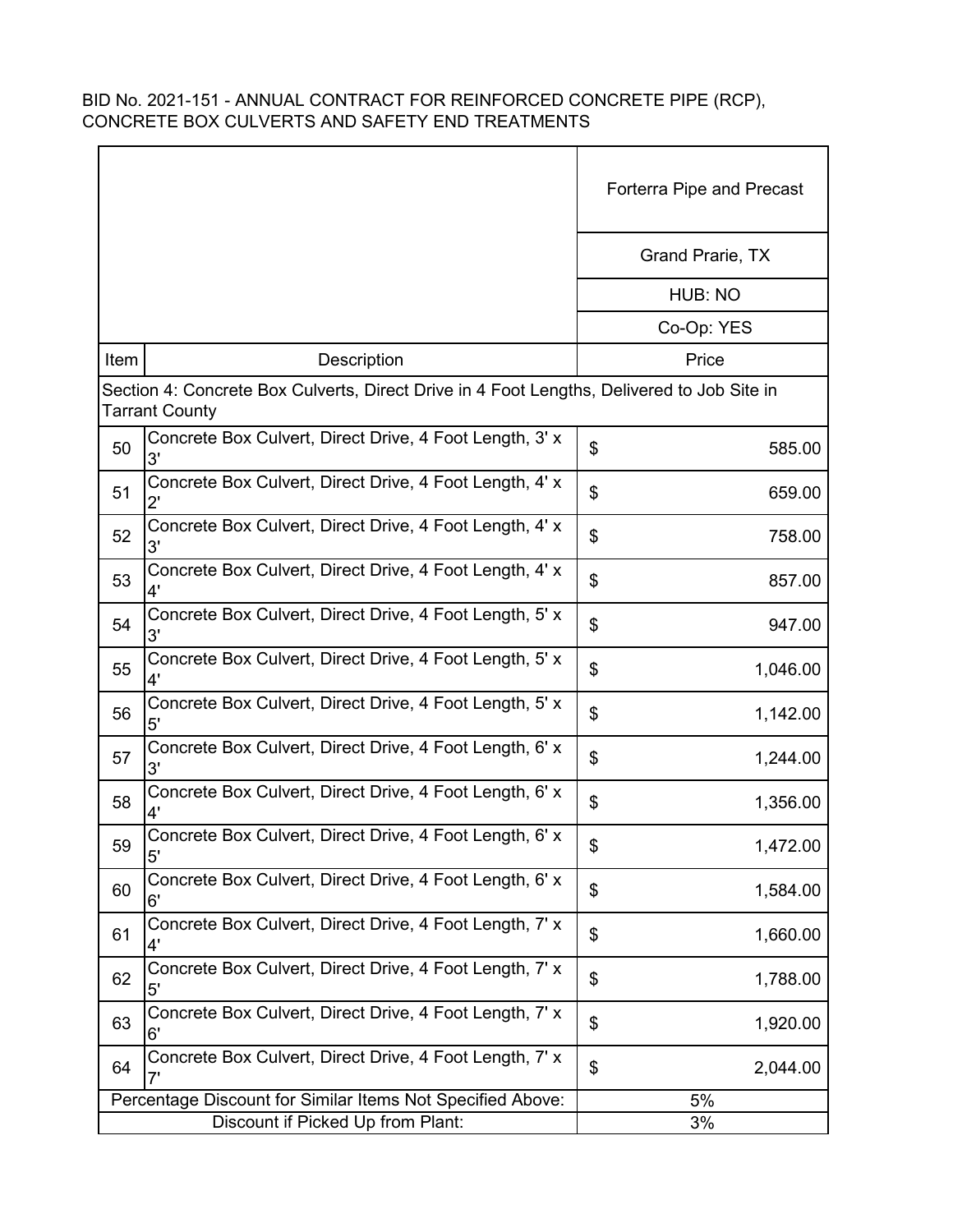|      |                                                                                                                     | <b>Forterra Pipe and Precast</b> |
|------|---------------------------------------------------------------------------------------------------------------------|----------------------------------|
|      |                                                                                                                     | Grand Prarie, TX                 |
|      |                                                                                                                     | HUB: NO                          |
|      |                                                                                                                     | Co-Op: YES                       |
| Item | Description                                                                                                         | Price                            |
|      | Section 4: Concrete Box Culverts, Direct Drive in 4 Foot Lengths, Delivered to Job Site in<br><b>Tarrant County</b> |                                  |
| 50   | Concrete Box Culvert, Direct Drive, 4 Foot Length, 3' x<br>3'                                                       | \$<br>585.00                     |
| 51   | Concrete Box Culvert, Direct Drive, 4 Foot Length, 4' x<br>$2^{\prime}$                                             | \$<br>659.00                     |
| 52   | Concrete Box Culvert, Direct Drive, 4 Foot Length, 4' x<br>3'                                                       | \$<br>758.00                     |
| 53   | Concrete Box Culvert, Direct Drive, 4 Foot Length, 4' x<br>4'                                                       | \$<br>857.00                     |
| 54   | Concrete Box Culvert, Direct Drive, 4 Foot Length, 5' x<br>3'                                                       | \$<br>947.00                     |
| 55   | Concrete Box Culvert, Direct Drive, 4 Foot Length, 5' x<br>4'                                                       | \$<br>1,046.00                   |
| 56   | Concrete Box Culvert, Direct Drive, 4 Foot Length, 5' x<br>5'                                                       | \$<br>1,142.00                   |
| 57   | Concrete Box Culvert, Direct Drive, 4 Foot Length, 6' x<br>3'                                                       | \$<br>1,244.00                   |
| 58   | Concrete Box Culvert, Direct Drive, 4 Foot Length, 6' x                                                             | \$<br>1,356.00                   |
| 59   | Concrete Box Culvert, Direct Drive, 4 Foot Length, 6' x<br>5'                                                       | \$<br>1,472.00                   |
| 60   | Concrete Box Culvert, Direct Drive, 4 Foot Length, 6' x<br>6'                                                       | \$<br>1,584.00                   |
| 61   | Concrete Box Culvert, Direct Drive, 4 Foot Length, 7' x<br>4'                                                       | \$<br>1,660.00                   |
| 62   | Concrete Box Culvert, Direct Drive, 4 Foot Length, 7' x<br>5'                                                       | \$<br>1,788.00                   |
| 63   | Concrete Box Culvert, Direct Drive, 4 Foot Length, 7' x<br>6'                                                       | \$<br>1,920.00                   |
| 64   | Concrete Box Culvert, Direct Drive, 4 Foot Length, 7' x<br>7'                                                       | \$<br>2,044.00                   |
|      | Percentage Discount for Similar Items Not Specified Above:                                                          | 5%                               |
|      | Discount if Picked Up from Plant:                                                                                   | 3%                               |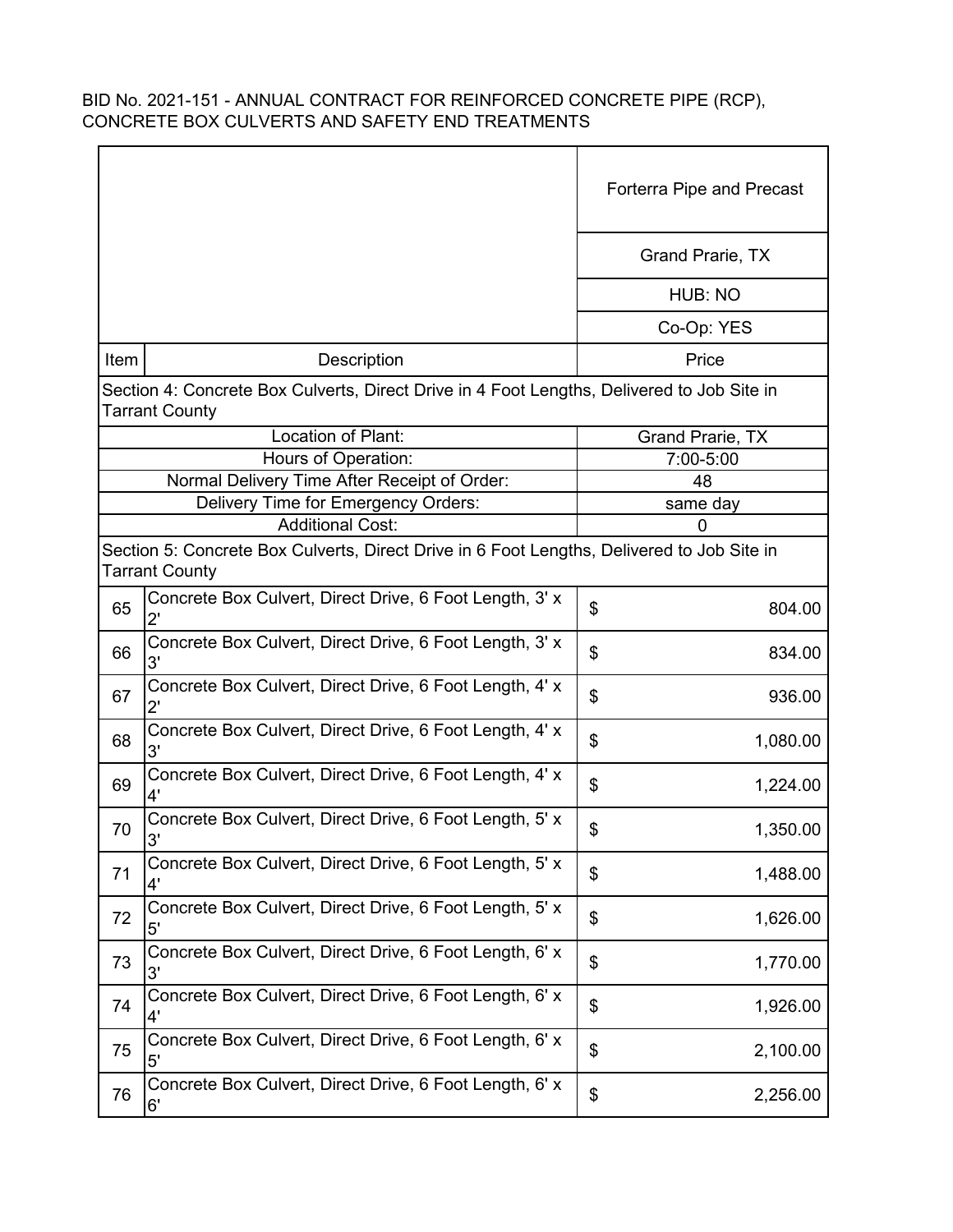|      |                                                                                                                     | <b>Forterra Pipe and Precast</b> |
|------|---------------------------------------------------------------------------------------------------------------------|----------------------------------|
|      |                                                                                                                     | Grand Prarie, TX                 |
|      |                                                                                                                     | HUB: NO                          |
|      |                                                                                                                     | Co-Op: YES                       |
| Item | <b>Description</b>                                                                                                  | Price                            |
|      | Section 4: Concrete Box Culverts, Direct Drive in 4 Foot Lengths, Delivered to Job Site in<br><b>Tarrant County</b> |                                  |
|      | Location of Plant:                                                                                                  | Grand Prarie, TX                 |
|      | Hours of Operation:                                                                                                 | 7:00-5:00                        |
|      | Normal Delivery Time After Receipt of Order:                                                                        | 48                               |
|      | Delivery Time for Emergency Orders:                                                                                 | same day                         |
|      | <b>Additional Cost:</b>                                                                                             | 0                                |
|      | Section 5: Concrete Box Culverts, Direct Drive in 6 Foot Lengths, Delivered to Job Site in<br><b>Tarrant County</b> |                                  |
| 65   | Concrete Box Culvert, Direct Drive, 6 Foot Length, 3' x<br>$2^{\prime}$                                             | \$<br>804.00                     |
| 66   | Concrete Box Culvert, Direct Drive, 6 Foot Length, 3' x<br>3'                                                       | \$<br>834.00                     |
| 67   | Concrete Box Culvert, Direct Drive, 6 Foot Length, 4' x<br>$2^{\prime}$                                             | \$<br>936.00                     |
| 68   | Concrete Box Culvert, Direct Drive, 6 Foot Length, 4' x<br>3'                                                       | \$<br>1,080.00                   |
| 69   | Concrete Box Culvert, Direct Drive, 6 Foot Length, 4' x<br>4'                                                       | \$<br>1,224.00                   |
| 70   | Concrete Box Culvert, Direct Drive, 6 Foot Length, 5' x<br>3'                                                       | \$<br>1,350.00                   |
| 71   | Concrete Box Culvert, Direct Drive, 6 Foot Length, 5' x<br>4'                                                       | \$<br>1,488.00                   |
| 72   | Concrete Box Culvert, Direct Drive, 6 Foot Length, 5' x<br>5'                                                       | \$<br>1,626.00                   |
| 73   | Concrete Box Culvert, Direct Drive, 6 Foot Length, 6' x<br>3'                                                       | \$<br>1,770.00                   |
| 74   | Concrete Box Culvert, Direct Drive, 6 Foot Length, 6' x<br>4'                                                       | \$<br>1,926.00                   |
| 75   | Concrete Box Culvert, Direct Drive, 6 Foot Length, 6' x<br>5'                                                       | \$<br>2,100.00                   |
| 76   | Concrete Box Culvert, Direct Drive, 6 Foot Length, 6' x<br>6'                                                       | \$<br>2,256.00                   |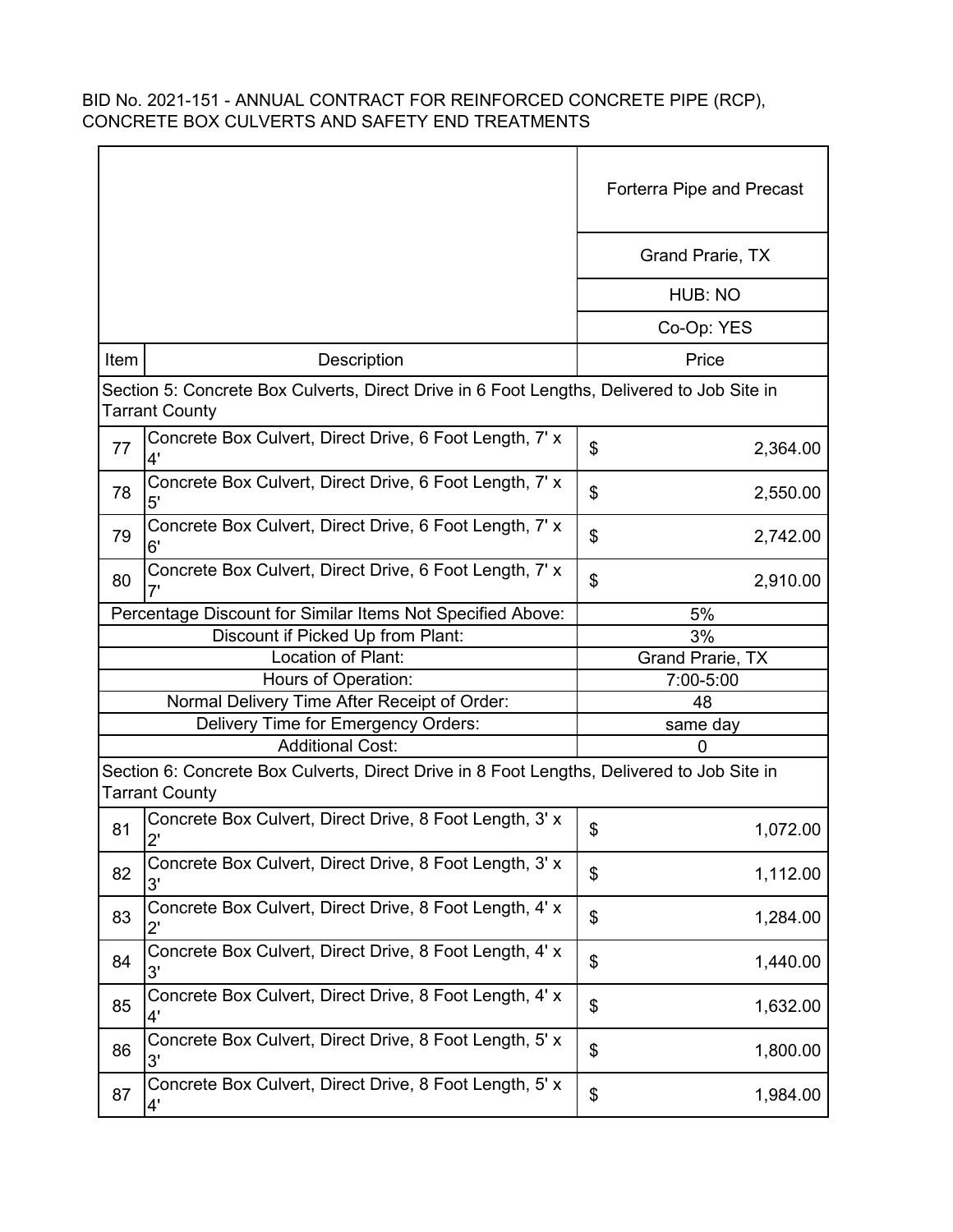|      |                                                                                                                     | <b>Forterra Pipe and Precast</b> |
|------|---------------------------------------------------------------------------------------------------------------------|----------------------------------|
|      |                                                                                                                     | Grand Prarie, TX                 |
|      |                                                                                                                     | HUB: NO                          |
|      |                                                                                                                     | Co-Op: YES                       |
| Item | Description                                                                                                         | Price                            |
|      | Section 5: Concrete Box Culverts, Direct Drive in 6 Foot Lengths, Delivered to Job Site in<br><b>Tarrant County</b> |                                  |
| 77   | Concrete Box Culvert, Direct Drive, 6 Foot Length, 7' x<br>4'                                                       | \$<br>2,364.00                   |
| 78   | Concrete Box Culvert, Direct Drive, 6 Foot Length, 7' x<br>5'                                                       | \$<br>2,550.00                   |
| 79   | Concrete Box Culvert, Direct Drive, 6 Foot Length, 7' x<br>6'                                                       | \$<br>2,742.00                   |
| 80   | Concrete Box Culvert, Direct Drive, 6 Foot Length, 7' x                                                             | \$<br>2,910.00                   |
|      | Percentage Discount for Similar Items Not Specified Above:                                                          | 5%                               |
|      | Discount if Picked Up from Plant:                                                                                   | 3%                               |
|      | Location of Plant:                                                                                                  | Grand Prarie, TX                 |
|      | Hours of Operation:                                                                                                 | 7:00-5:00                        |
|      | Normal Delivery Time After Receipt of Order:                                                                        | 48                               |
|      | Delivery Time for Emergency Orders:                                                                                 | same day                         |
|      | <b>Additional Cost:</b>                                                                                             | $\mathbf 0$                      |
|      | Section 6: Concrete Box Culverts, Direct Drive in 8 Foot Lengths, Delivered to Job Site in<br><b>Tarrant County</b> |                                  |
| 81   | Concrete Box Culvert, Direct Drive, 8 Foot Length, 3' x<br>2'                                                       | \$<br>1,072.00                   |
| 82   | Concrete Box Culvert, Direct Drive, 8 Foot Length, 3' x<br>3'                                                       | \$<br>1,112.00                   |
| 83   | Concrete Box Culvert, Direct Drive, 8 Foot Length, 4' x<br>$2^{\prime}$                                             | \$<br>1,284.00                   |
| 84   | Concrete Box Culvert, Direct Drive, 8 Foot Length, 4' x<br>3'                                                       | \$<br>1,440.00                   |
| 85   | Concrete Box Culvert, Direct Drive, 8 Foot Length, 4' x<br>4'                                                       | \$<br>1,632.00                   |
| 86   | Concrete Box Culvert, Direct Drive, 8 Foot Length, 5' x<br>3'                                                       | \$<br>1,800.00                   |
| 87   | Concrete Box Culvert, Direct Drive, 8 Foot Length, 5' x<br>4'                                                       | \$<br>1,984.00                   |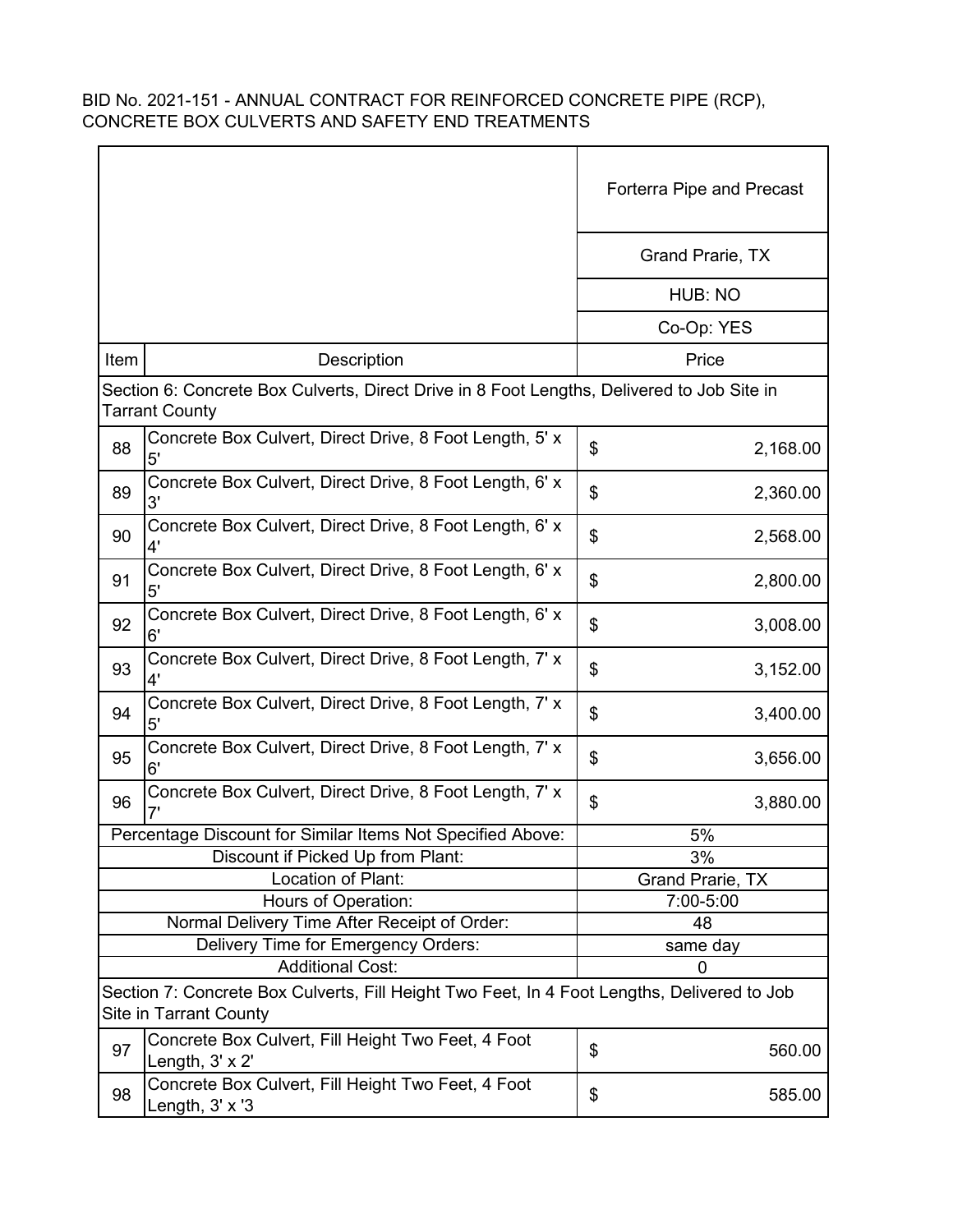|      |                                                                                                                              | Forterra Pipe and Precast |  |
|------|------------------------------------------------------------------------------------------------------------------------------|---------------------------|--|
|      |                                                                                                                              | Grand Prarie, TX          |  |
|      |                                                                                                                              | HUB: NO                   |  |
|      |                                                                                                                              | Co-Op: YES                |  |
| Item | Description                                                                                                                  | Price                     |  |
|      | Section 6: Concrete Box Culverts, Direct Drive in 8 Foot Lengths, Delivered to Job Site in<br><b>Tarrant County</b>          |                           |  |
| 88   | Concrete Box Culvert, Direct Drive, 8 Foot Length, 5' x<br>5'                                                                | \$<br>2,168.00            |  |
| 89   | Concrete Box Culvert, Direct Drive, 8 Foot Length, 6' x<br>3'                                                                | \$<br>2,360.00            |  |
| 90   | Concrete Box Culvert, Direct Drive, 8 Foot Length, 6' x<br>4'                                                                | \$<br>2,568.00            |  |
| 91   | Concrete Box Culvert, Direct Drive, 8 Foot Length, 6' x<br>5'                                                                | \$<br>2,800.00            |  |
| 92   | Concrete Box Culvert, Direct Drive, 8 Foot Length, 6' x<br>6'                                                                | \$<br>3,008.00            |  |
| 93   | Concrete Box Culvert, Direct Drive, 8 Foot Length, 7' x<br>4'                                                                | \$<br>3,152.00            |  |
| 94   | Concrete Box Culvert, Direct Drive, 8 Foot Length, 7' x<br>5'                                                                | \$<br>3,400.00            |  |
| 95   | Concrete Box Culvert, Direct Drive, 8 Foot Length, 7' x<br>6'                                                                | \$<br>3,656.00            |  |
| 96   | Concrete Box Culvert, Direct Drive, 8 Foot Length, 7' x                                                                      | \$<br>3,880.00            |  |
|      | Percentage Discount for Similar Items Not Specified Above:                                                                   | 5%                        |  |
|      | Discount if Picked Up from Plant:                                                                                            | 3%                        |  |
|      | Location of Plant:                                                                                                           | <b>Grand Prarie, TX</b>   |  |
|      | Hours of Operation:                                                                                                          | 7:00-5:00                 |  |
|      | Normal Delivery Time After Receipt of Order:                                                                                 | 48                        |  |
|      | Delivery Time for Emergency Orders:                                                                                          | same day                  |  |
|      | <b>Additional Cost:</b>                                                                                                      | 0                         |  |
|      | Section 7: Concrete Box Culverts, Fill Height Two Feet, In 4 Foot Lengths, Delivered to Job<br><b>Site in Tarrant County</b> |                           |  |
| 97   | Concrete Box Culvert, Fill Height Two Feet, 4 Foot<br>Length, $3' \times 2'$                                                 | \$<br>560.00              |  |
| 98   | Concrete Box Culvert, Fill Height Two Feet, 4 Foot<br>Length, 3' x '3                                                        | \$<br>585.00              |  |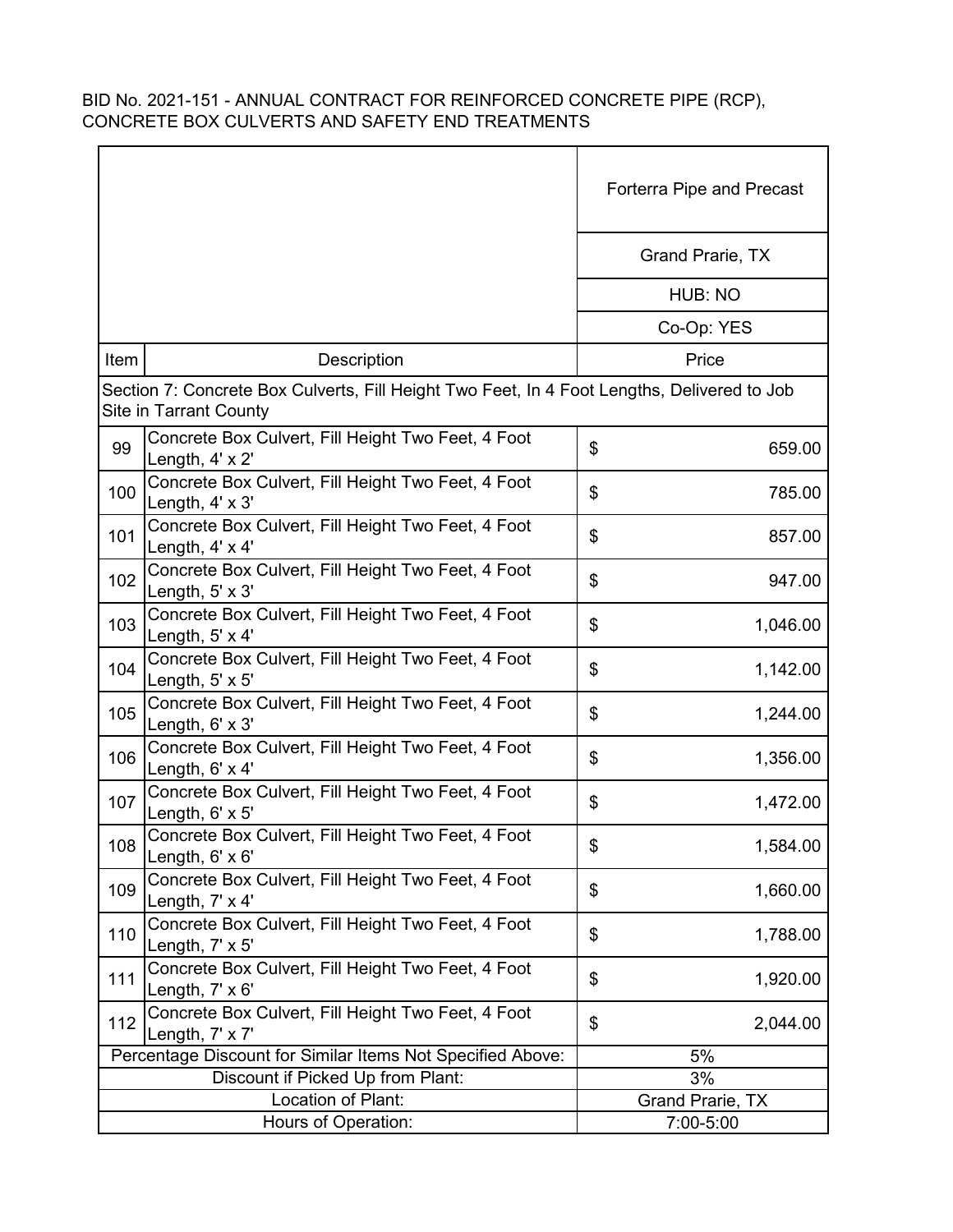|      |                                                                                                                              | Forterra Pipe and Precast     |
|------|------------------------------------------------------------------------------------------------------------------------------|-------------------------------|
|      |                                                                                                                              | Grand Prarie, TX              |
|      |                                                                                                                              | HUB: NO                       |
|      |                                                                                                                              | Co-Op: YES                    |
| Item | <b>Description</b>                                                                                                           | Price                         |
|      | Section 7: Concrete Box Culverts, Fill Height Two Feet, In 4 Foot Lengths, Delivered to Job<br><b>Site in Tarrant County</b> |                               |
| 99   | Concrete Box Culvert, Fill Height Two Feet, 4 Foot<br>Length, 4' x 2'                                                        | \$<br>659.00                  |
| 100  | Concrete Box Culvert, Fill Height Two Feet, 4 Foot<br>Length, 4' x 3'                                                        | \$<br>785.00                  |
| 101  | Concrete Box Culvert, Fill Height Two Feet, 4 Foot<br>Length, 4' x 4'                                                        | \$<br>857.00                  |
| 102  | Concrete Box Culvert, Fill Height Two Feet, 4 Foot<br>Length, 5' x 3'                                                        | \$<br>947.00                  |
| 103  | Concrete Box Culvert, Fill Height Two Feet, 4 Foot<br>Length, $5' \times 4'$                                                 | \$<br>1,046.00                |
| 104  | Concrete Box Culvert, Fill Height Two Feet, 4 Foot<br>Length, $5' \times 5'$                                                 | \$<br>1,142.00                |
| 105  | Concrete Box Culvert, Fill Height Two Feet, 4 Foot<br>Length, 6' x 3'                                                        | \$<br>1,244.00                |
| 106  | Concrete Box Culvert, Fill Height Two Feet, 4 Foot<br>Length, 6' x 4'                                                        | \$<br>1,356.00                |
| 107  | Concrete Box Culvert, Fill Height Two Feet, 4 Foot<br>Length, $6' \times 5'$                                                 | \$<br>1,472.00                |
| 108  | Concrete Box Culvert, Fill Height Two Feet, 4 Foot<br>Length, $6' \times 6'$                                                 | \$<br>1,584.00                |
| 109  | Concrete Box Culvert, Fill Height Two Feet, 4 Foot<br>Length, 7' x 4'                                                        | \$<br>1,660.00                |
| 110  | Concrete Box Culvert, Fill Height Two Feet, 4 Foot<br>Length, 7' x 5'                                                        | \$<br>1,788.00                |
| 111  | Concrete Box Culvert, Fill Height Two Feet, 4 Foot<br>Length, $7' \times 6'$                                                 | \$<br>1,920.00                |
| 112  | Concrete Box Culvert, Fill Height Two Feet, 4 Foot<br>Length, 7' x 7'                                                        | \$<br>2,044.00                |
|      | Percentage Discount for Similar Items Not Specified Above:                                                                   | 5%                            |
|      | Discount if Picked Up from Plant:                                                                                            | 3%                            |
|      | Location of Plant:<br>Hours of Operation:                                                                                    | Grand Prarie, TX<br>7:00-5:00 |
|      |                                                                                                                              |                               |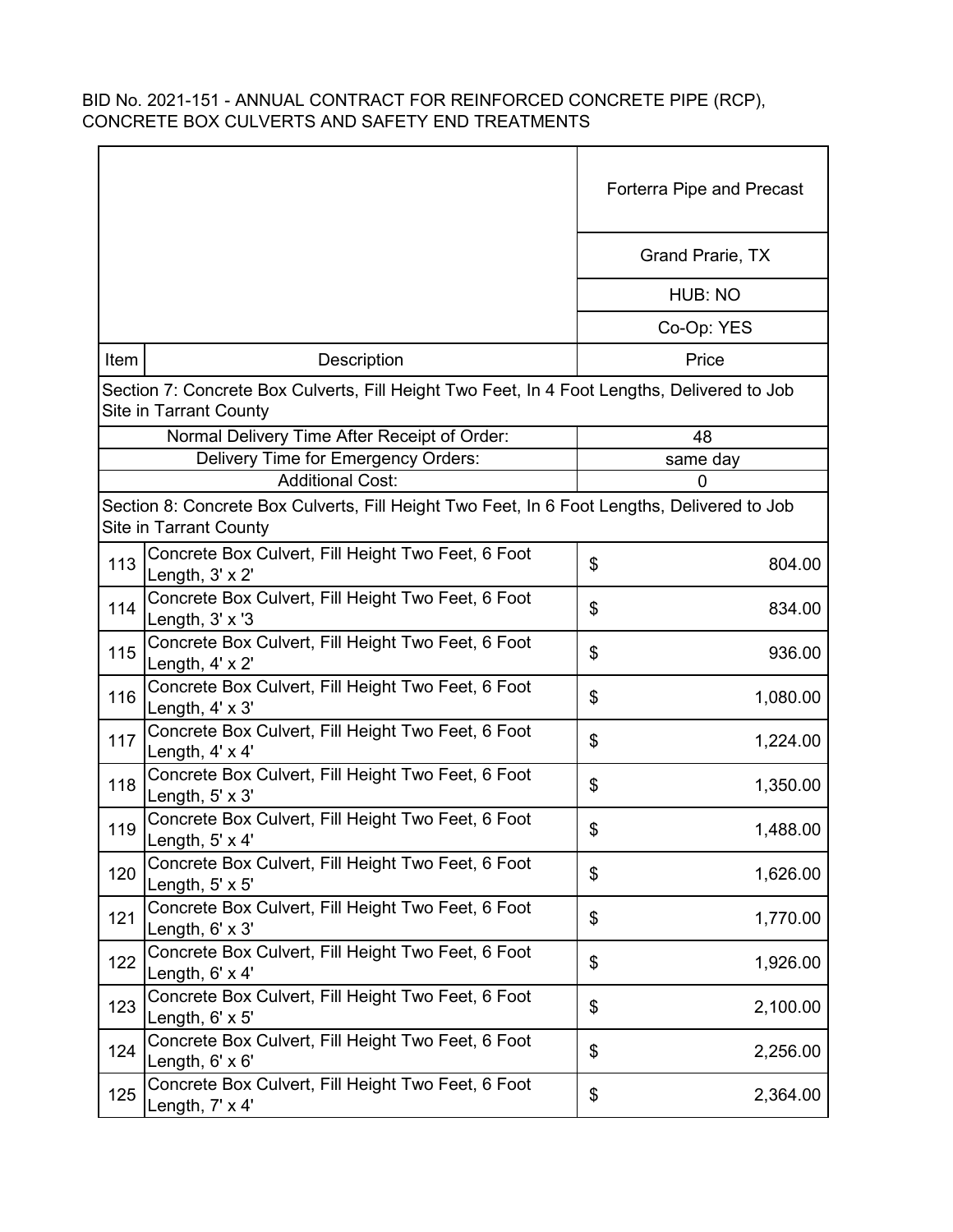|      |                                                                                                                              | Forterra Pipe and Precast |
|------|------------------------------------------------------------------------------------------------------------------------------|---------------------------|
|      |                                                                                                                              | Grand Prarie, TX          |
|      |                                                                                                                              | HUB: NO                   |
|      |                                                                                                                              | Co-Op: YES                |
| Item | <b>Description</b>                                                                                                           | Price                     |
|      | Section 7: Concrete Box Culverts, Fill Height Two Feet, In 4 Foot Lengths, Delivered to Job<br>Site in Tarrant County        |                           |
|      | Normal Delivery Time After Receipt of Order:                                                                                 | 48                        |
|      | Delivery Time for Emergency Orders:                                                                                          | same day                  |
|      | <b>Additional Cost:</b>                                                                                                      | 0                         |
|      | Section 8: Concrete Box Culverts, Fill Height Two Feet, In 6 Foot Lengths, Delivered to Job<br><b>Site in Tarrant County</b> |                           |
| 113  | Concrete Box Culvert, Fill Height Two Feet, 6 Foot<br>Length, $3' \times 2'$                                                 | \$<br>804.00              |
| 114  | Concrete Box Culvert, Fill Height Two Feet, 6 Foot<br>Length, $3' \times 3$                                                  | \$<br>834.00              |
| 115  | Concrete Box Culvert, Fill Height Two Feet, 6 Foot<br>Length, 4' x 2'                                                        | \$<br>936.00              |
| 116  | Concrete Box Culvert, Fill Height Two Feet, 6 Foot<br>Length, 4' x 3'                                                        | \$<br>1,080.00            |
| 117  | Concrete Box Culvert, Fill Height Two Feet, 6 Foot<br>Length, 4' x 4'                                                        | \$<br>1,224.00            |
| 118  | Concrete Box Culvert, Fill Height Two Feet, 6 Foot<br>Length, 5' x 3'                                                        | \$<br>1,350.00            |
| 119  | Concrete Box Culvert, Fill Height Two Feet, 6 Foot<br>Length, 5' x 4'                                                        | \$<br>1,488.00            |
| 120  | Concrete Box Culvert, Fill Height Two Feet, 6 Foot<br>Length, $5' \times 5'$                                                 | \$<br>1,626.00            |
| 121  | Concrete Box Culvert, Fill Height Two Feet, 6 Foot<br>Length, 6' x 3'                                                        | \$<br>1,770.00            |
| 122  | Concrete Box Culvert, Fill Height Two Feet, 6 Foot<br>Length, $6' \times 4'$                                                 | \$<br>1,926.00            |
| 123  | Concrete Box Culvert, Fill Height Two Feet, 6 Foot<br>Length, $6' \times 5'$                                                 | \$<br>2,100.00            |
| 124  | Concrete Box Culvert, Fill Height Two Feet, 6 Foot<br>Length, $6' \times 6'$                                                 | \$<br>2,256.00            |
| 125  | Concrete Box Culvert, Fill Height Two Feet, 6 Foot<br>Length, 7' x 4'                                                        | \$<br>2,364.00            |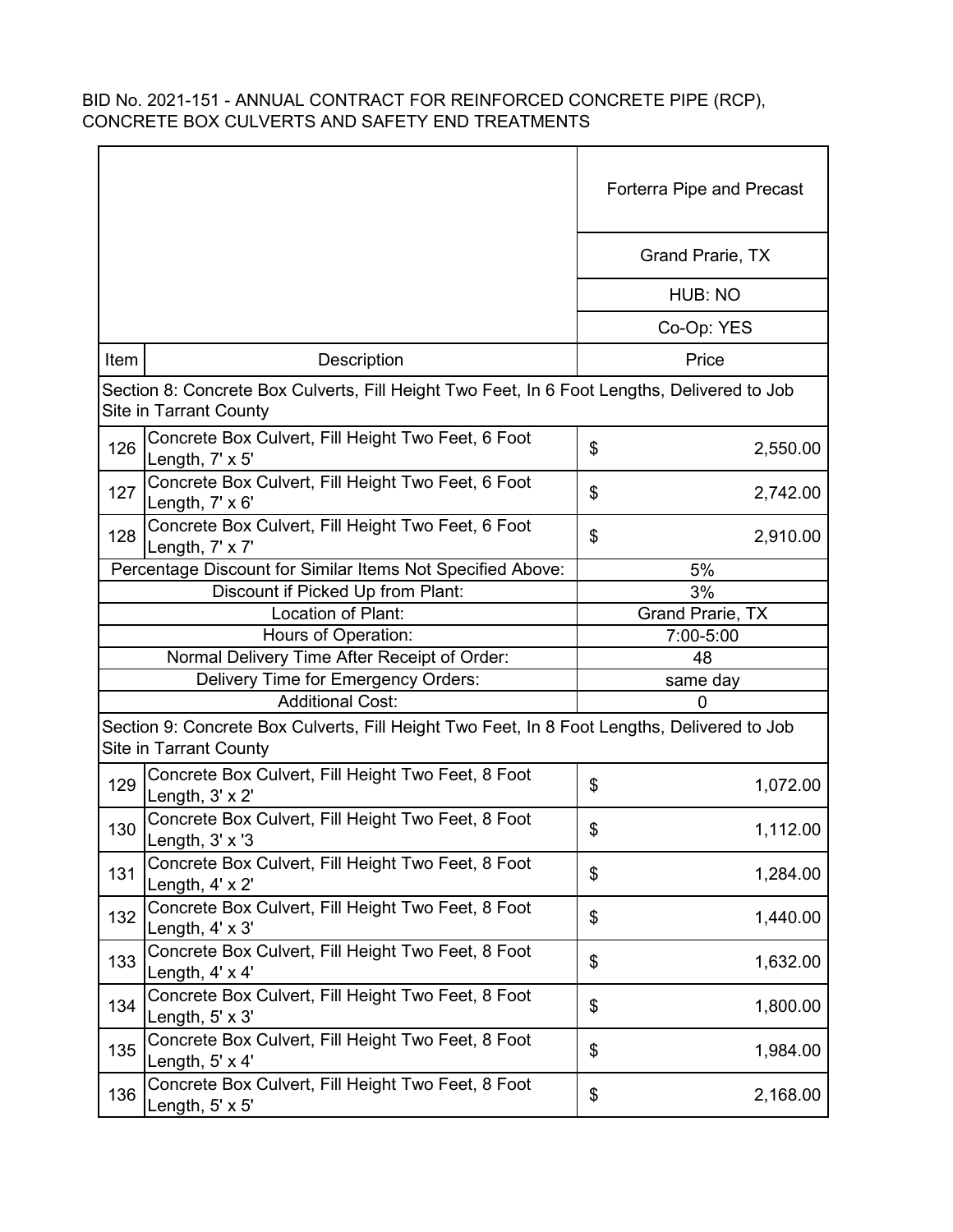|      |                                                                                                                       | <b>Forterra Pipe and Precast</b> |          |
|------|-----------------------------------------------------------------------------------------------------------------------|----------------------------------|----------|
|      |                                                                                                                       | Grand Prarie, TX                 |          |
|      |                                                                                                                       | HUB: NO                          |          |
|      |                                                                                                                       | Co-Op: YES                       |          |
| Item | Description                                                                                                           | Price                            |          |
|      | Section 8: Concrete Box Culverts, Fill Height Two Feet, In 6 Foot Lengths, Delivered to Job<br>Site in Tarrant County |                                  |          |
| 126  | Concrete Box Culvert, Fill Height Two Feet, 6 Foot<br>Length, 7' x 5'                                                 | \$                               | 2,550.00 |
| 127  | Concrete Box Culvert, Fill Height Two Feet, 6 Foot<br>Length, $7' \times 6'$                                          | \$                               | 2,742.00 |
| 128  | Concrete Box Culvert, Fill Height Two Feet, 6 Foot<br>Length, 7' x 7'                                                 | \$                               | 2,910.00 |
|      | Percentage Discount for Similar Items Not Specified Above:                                                            | 5%                               |          |
|      | Discount if Picked Up from Plant:                                                                                     | 3%                               |          |
|      | Location of Plant:                                                                                                    | Grand Prarie, TX                 |          |
|      | Hours of Operation:                                                                                                   | 7:00-5:00                        |          |
|      | Normal Delivery Time After Receipt of Order:                                                                          | 48                               |          |
|      | Delivery Time for Emergency Orders:                                                                                   | same day                         |          |
|      | <b>Additional Cost:</b>                                                                                               | $\Omega$                         |          |
|      | Section 9: Concrete Box Culverts, Fill Height Two Feet, In 8 Foot Lengths, Delivered to Job<br>Site in Tarrant County |                                  |          |
| 129  | Concrete Box Culvert, Fill Height Two Feet, 8 Foot<br>Length, $3' \times 2'$                                          | \$                               | 1,072.00 |
| 130  | Concrete Box Culvert, Fill Height Two Feet, 8 Foot<br>Length, $3' \times 3$                                           | \$                               | 1,112.00 |
| 131  | Concrete Box Culvert, Fill Height Two Feet, 8 Foot<br>Length, 4' x 2'                                                 | \$                               | 1,284.00 |
| 132  | Concrete Box Culvert, Fill Height Two Feet, 8 Foot<br>Length, 4' x 3'                                                 | \$                               | 1,440.00 |
| 133  | Concrete Box Culvert, Fill Height Two Feet, 8 Foot<br>Length, $4' \times 4'$                                          | \$                               | 1,632.00 |
| 134  | Concrete Box Culvert, Fill Height Two Feet, 8 Foot<br>Length, $5' \times 3'$                                          | \$                               | 1,800.00 |
| 135  | Concrete Box Culvert, Fill Height Two Feet, 8 Foot<br>Length, $5' \times 4'$                                          | \$                               | 1,984.00 |
| 136  | Concrete Box Culvert, Fill Height Two Feet, 8 Foot<br>Length, $5' \times 5'$                                          | \$                               | 2,168.00 |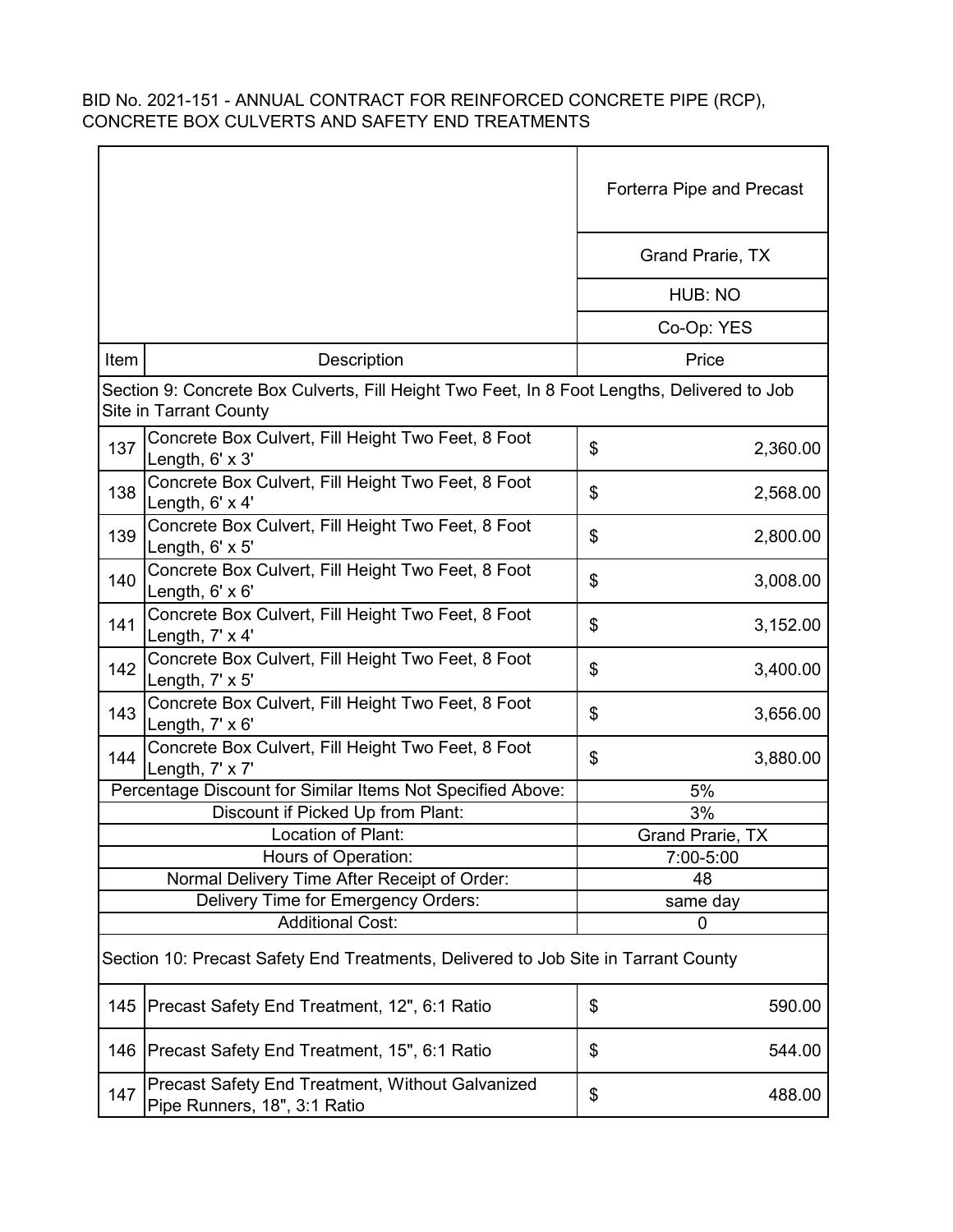|      |                                                                                                                       | Forterra Pipe and Precast |
|------|-----------------------------------------------------------------------------------------------------------------------|---------------------------|
|      |                                                                                                                       | Grand Prarie, TX          |
|      |                                                                                                                       | HUB: NO                   |
|      |                                                                                                                       | Co-Op: YES                |
| Item | Description                                                                                                           | Price                     |
|      | Section 9: Concrete Box Culverts, Fill Height Two Feet, In 8 Foot Lengths, Delivered to Job<br>Site in Tarrant County |                           |
| 137  | Concrete Box Culvert, Fill Height Two Feet, 8 Foot<br>Length, 6' x 3'                                                 | \$<br>2,360.00            |
| 138  | Concrete Box Culvert, Fill Height Two Feet, 8 Foot<br>Length, $6' \times 4'$                                          | \$<br>2,568.00            |
| 139  | Concrete Box Culvert, Fill Height Two Feet, 8 Foot<br>Length, $6' \times 5'$                                          | \$<br>2,800.00            |
| 140  | Concrete Box Culvert, Fill Height Two Feet, 8 Foot<br>Length, $6' \times 6'$                                          | \$<br>3,008.00            |
| 141  | Concrete Box Culvert, Fill Height Two Feet, 8 Foot<br>Length, 7' x 4'                                                 | \$<br>3,152.00            |
| 142  | Concrete Box Culvert, Fill Height Two Feet, 8 Foot<br>Length, $7' \times 5'$                                          | \$<br>3,400.00            |
| 143  | Concrete Box Culvert, Fill Height Two Feet, 8 Foot<br>Length, 7' x 6'                                                 | \$<br>3,656.00            |
| 144  | Concrete Box Culvert, Fill Height Two Feet, 8 Foot<br>Length, 7' x 7'                                                 | \$<br>3,880.00            |
|      | Percentage Discount for Similar Items Not Specified Above:                                                            | 5%                        |
|      | Discount if Picked Up from Plant:                                                                                     | 3%                        |
|      | Location of Plant:                                                                                                    | <b>Grand Prarie, TX</b>   |
|      | Hours of Operation:                                                                                                   | 7:00-5:00                 |
|      | Normal Delivery Time After Receipt of Order:                                                                          | 48                        |
|      | Delivery Time for Emergency Orders:                                                                                   | same day                  |
|      | <b>Additional Cost:</b>                                                                                               | 0                         |
|      | Section 10: Precast Safety End Treatments, Delivered to Job Site in Tarrant County                                    |                           |
| 145  | Precast Safety End Treatment, 12", 6:1 Ratio                                                                          | \$<br>590.00              |
| 146  | Precast Safety End Treatment, 15", 6:1 Ratio                                                                          | \$<br>544.00              |
| 147  | <b>Precast Safety End Treatment, Without Galvanized</b><br>Pipe Runners, 18", 3:1 Ratio                               | \$<br>488.00              |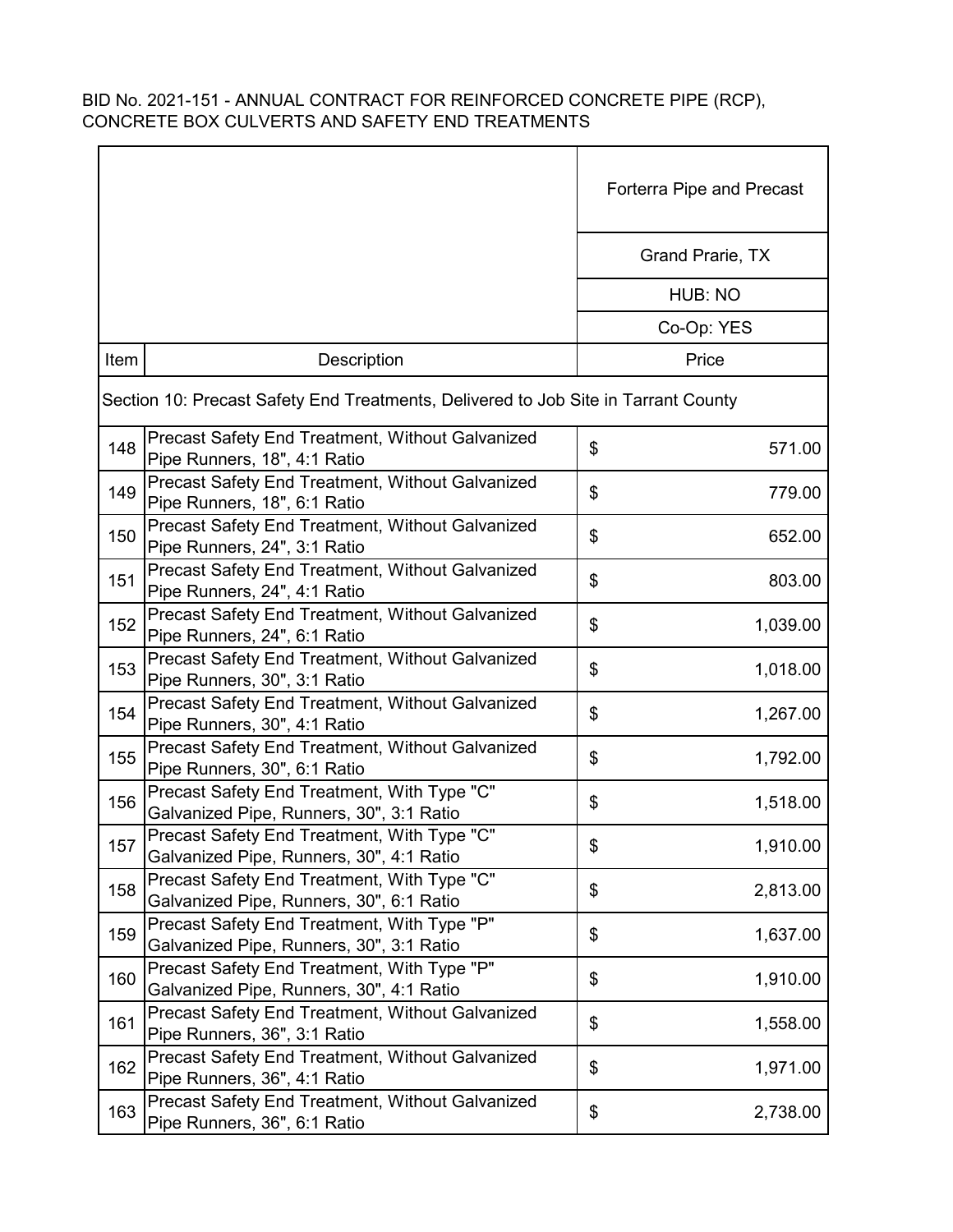|                                                                                                | Forterra Pipe and Precast<br><b>Grand Prarie, TX</b> |  |  |  |
|------------------------------------------------------------------------------------------------|------------------------------------------------------|--|--|--|
|                                                                                                |                                                      |  |  |  |
|                                                                                                | HUB: NO                                              |  |  |  |
|                                                                                                | Co-Op: YES                                           |  |  |  |
| Item<br>Description                                                                            | Price                                                |  |  |  |
| Section 10: Precast Safety End Treatments, Delivered to Job Site in Tarrant County             |                                                      |  |  |  |
| Precast Safety End Treatment, Without Galvanized<br>148<br>Pipe Runners, 18", 4:1 Ratio        | \$<br>571.00                                         |  |  |  |
| Precast Safety End Treatment, Without Galvanized<br>149<br>Pipe Runners, 18", 6:1 Ratio        | \$<br>779.00                                         |  |  |  |
| Precast Safety End Treatment, Without Galvanized<br>150<br>Pipe Runners, 24", 3:1 Ratio        | \$<br>652.00                                         |  |  |  |
| Precast Safety End Treatment, Without Galvanized<br>151<br>Pipe Runners, 24", 4:1 Ratio        | \$<br>803.00                                         |  |  |  |
| Precast Safety End Treatment, Without Galvanized<br>152<br>Pipe Runners, 24", 6:1 Ratio        | \$<br>1,039.00                                       |  |  |  |
| Precast Safety End Treatment, Without Galvanized<br>153<br>Pipe Runners, 30", 3:1 Ratio        | \$<br>1,018.00                                       |  |  |  |
| Precast Safety End Treatment, Without Galvanized<br>154<br>Pipe Runners, 30", 4:1 Ratio        | \$<br>1,267.00                                       |  |  |  |
| Precast Safety End Treatment, Without Galvanized<br>155<br>Pipe Runners, 30", 6:1 Ratio        | \$<br>1,792.00                                       |  |  |  |
| Precast Safety End Treatment, With Type "C"<br>156<br>Galvanized Pipe, Runners, 30", 3:1 Ratio | \$<br>1,518.00                                       |  |  |  |
| Precast Safety End Treatment, With Type "C"<br>157<br>Galvanized Pipe, Runners, 30", 4:1 Ratio | \$<br>1,910.00                                       |  |  |  |
| Precast Safety End Treatment, With Type "C"<br>158<br>Galvanized Pipe, Runners, 30", 6:1 Ratio | \$<br>2,813.00                                       |  |  |  |
| Precast Safety End Treatment, With Type "P"<br>159<br>Galvanized Pipe, Runners, 30", 3:1 Ratio | \$<br>1,637.00                                       |  |  |  |
| Precast Safety End Treatment, With Type "P"<br>160<br>Galvanized Pipe, Runners, 30", 4:1 Ratio | \$<br>1,910.00                                       |  |  |  |
| Precast Safety End Treatment, Without Galvanized<br>161<br>Pipe Runners, 36", 3:1 Ratio        | \$<br>1,558.00                                       |  |  |  |
| Precast Safety End Treatment, Without Galvanized<br>162<br>Pipe Runners, 36", 4:1 Ratio        | \$<br>1,971.00                                       |  |  |  |
| Precast Safety End Treatment, Without Galvanized<br>163<br>Pipe Runners, 36", 6:1 Ratio        | \$<br>2,738.00                                       |  |  |  |